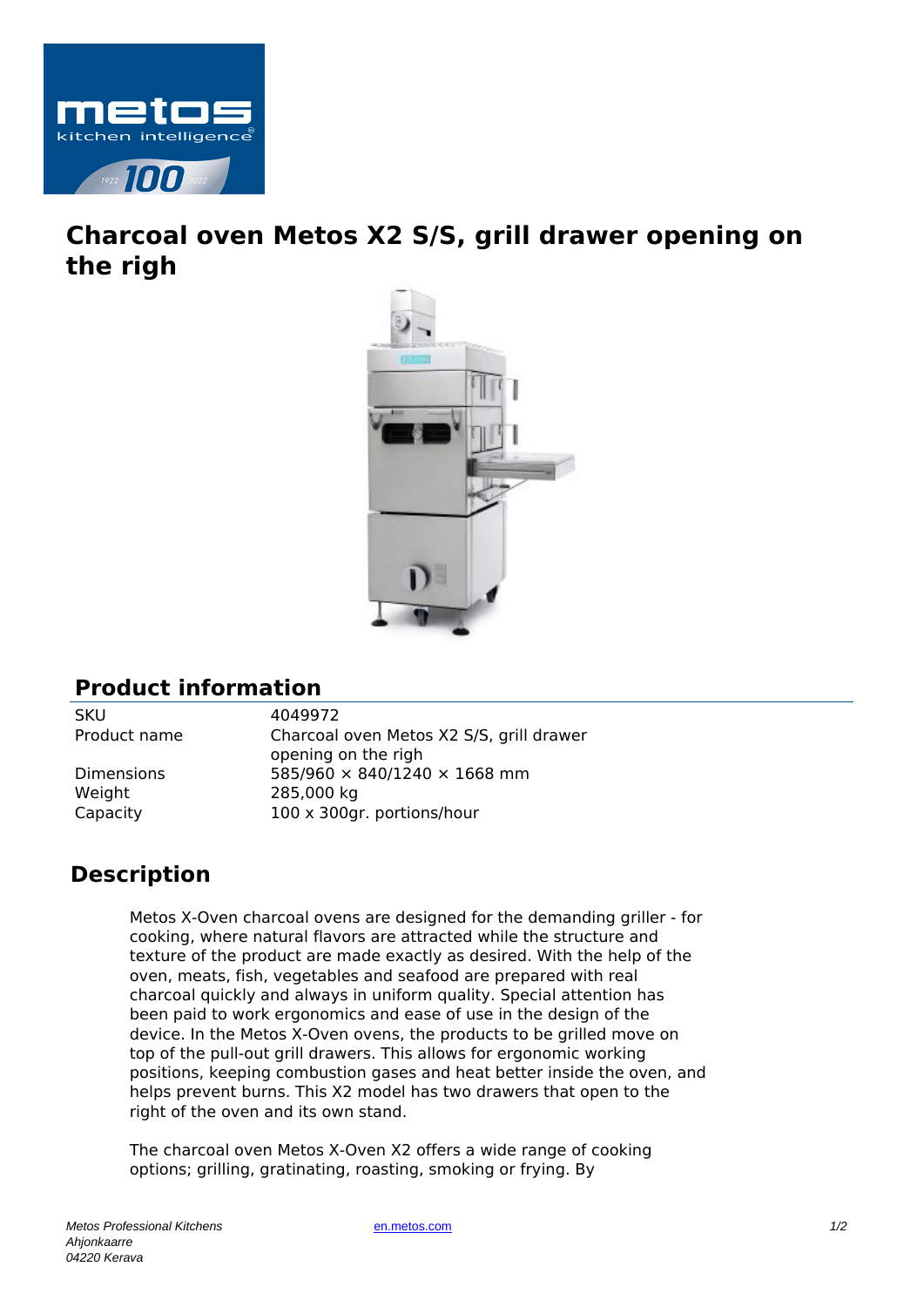

## **Charcoal oven Metos X2 S/S, grill drawer opening on the righ**



## **Product information**

SKU 4049972

Weight 285,000 kg

Product name Charcoal oven Metos X2 S/S, grill drawer opening on the righ Dimensions 585/960 × 840/1240 × 1668 mm Capacity 100 x 300gr. portions/hour

## **Description**

Metos X-Oven charcoal ovens are designed for the demanding griller - for cooking, where natural flavors are attracted while the structure and texture of the product are made exactly as desired. With the help of the oven, meats, fish, vegetables and seafood are prepared with real charcoal quickly and always in uniform quality. Special attention has been paid to work ergonomics and ease of use in the design of the device. In the Metos X-Oven ovens, the products to be grilled move on top of the pull-out grill drawers. This allows for ergonomic working positions, keeping combustion gases and heat better inside the oven, and helps prevent burns. This X2 model has two drawers that open to the right of the oven and its own stand.

The charcoal oven Metos X-Oven X2 offers a wide range of cooking options; grilling, gratinating, roasting, smoking or frying. By